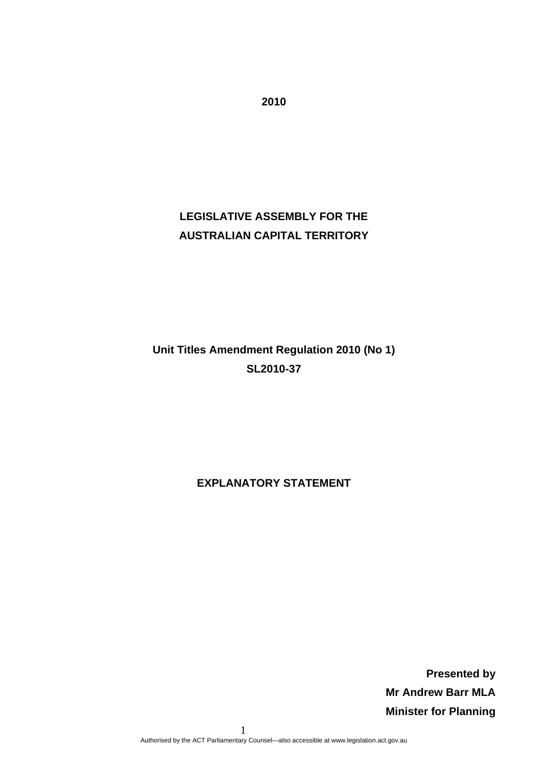# **LEGISLATIVE ASSEMBLY FOR THE AUSTRALIAN CAPITAL TERRITORY**

# **Unit Titles Amendment Regulation 2010 (No 1) SL2010-37**

**EXPLANATORY STATEMENT** 

**Presented by Mr Andrew Barr MLA Minister for Planning** 

 1 Authorised by the ACT Parliamentary Counsel—also accessible at www.legislation.act.gov.au

**2010**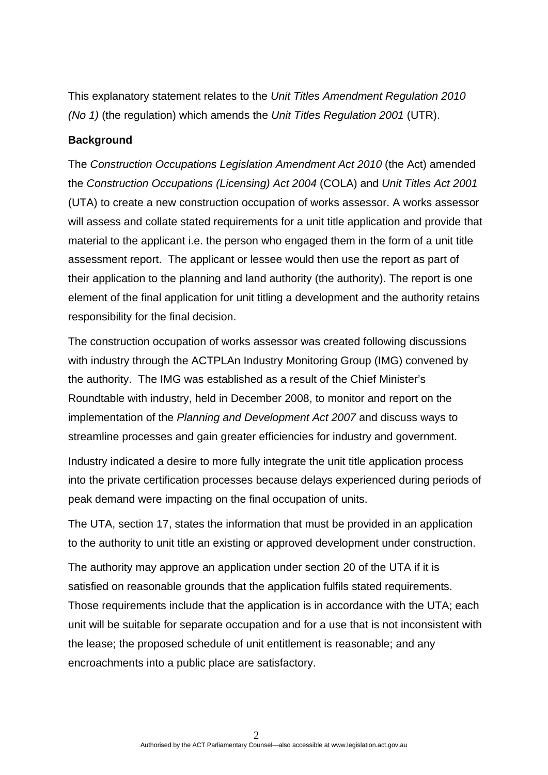This explanatory statement relates to the *Unit Titles Amendment Regulation 2010 (No 1)* (the regulation) which amends the *Unit Titles Regulation 2001* (UTR).

#### **Background**

The *Construction Occupations Legislation Amendment Act 2010* (the Act) amended the *Construction Occupations (Licensing) Act 2004* (COLA) and *Unit Titles Act 2001* (UTA) to create a new construction occupation of works assessor. A works assessor will assess and collate stated requirements for a unit title application and provide that material to the applicant i.e. the person who engaged them in the form of a unit title assessment report. The applicant or lessee would then use the report as part of their application to the planning and land authority (the authority). The report is one element of the final application for unit titling a development and the authority retains responsibility for the final decision.

The construction occupation of works assessor was created following discussions with industry through the ACTPLAn Industry Monitoring Group (IMG) convened by the authority. The IMG was established as a result of the Chief Minister's Roundtable with industry, held in December 2008, to monitor and report on the implementation of the *Planning and Development Act 2007* and discuss ways to streamline processes and gain greater efficiencies for industry and government.

Industry indicated a desire to more fully integrate the unit title application process into the private certification processes because delays experienced during periods of peak demand were impacting on the final occupation of units.

The UTA, section 17, states the information that must be provided in an application to the authority to unit title an existing or approved development under construction.

The authority may approve an application under section 20 of the UTA if it is satisfied on reasonable grounds that the application fulfils stated requirements. Those requirements include that the application is in accordance with the UTA; each unit will be suitable for separate occupation and for a use that is not inconsistent with the lease; the proposed schedule of unit entitlement is reasonable; and any encroachments into a public place are satisfactory.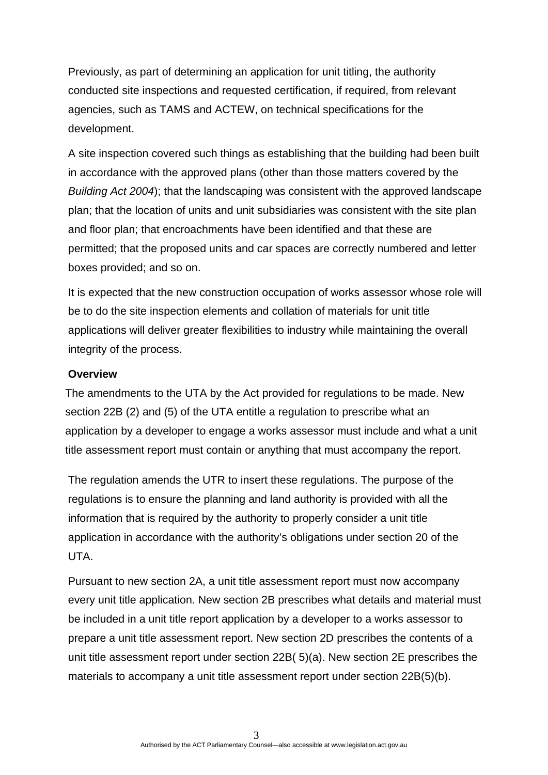Previously, as part of determining an application for unit titling, the authority conducted site inspections and requested certification, if required, from relevant agencies, such as TAMS and ACTEW, on technical specifications for the development.

A site inspection covered such things as establishing that the building had been built in accordance with the approved plans (other than those matters covered by the *Building Act 2004*); that the landscaping was consistent with the approved landscape plan; that the location of units and unit subsidiaries was consistent with the site plan and floor plan; that encroachments have been identified and that these are permitted; that the proposed units and car spaces are correctly numbered and letter boxes provided; and so on.

It is expected that the new construction occupation of works assessor whose role will be to do the site inspection elements and collation of materials for unit title applications will deliver greater flexibilities to industry while maintaining the overall integrity of the process.

### **Overview**

The amendments to the UTA by the Act provided for regulations to be made. New section 22B (2) and (5) of the UTA entitle a regulation to prescribe what an application by a developer to engage a works assessor must include and what a unit title assessment report must contain or anything that must accompany the report.

The regulation amends the UTR to insert these regulations. The purpose of the regulations is to ensure the planning and land authority is provided with all the information that is required by the authority to properly consider a unit title application in accordance with the authority's obligations under section 20 of the UTA.

Pursuant to new section 2A, a unit title assessment report must now accompany every unit title application. New section 2B prescribes what details and material must be included in a unit title report application by a developer to a works assessor to prepare a unit title assessment report. New section 2D prescribes the contents of a unit title assessment report under section 22B( 5)(a). New section 2E prescribes the materials to accompany a unit title assessment report under section 22B(5)(b).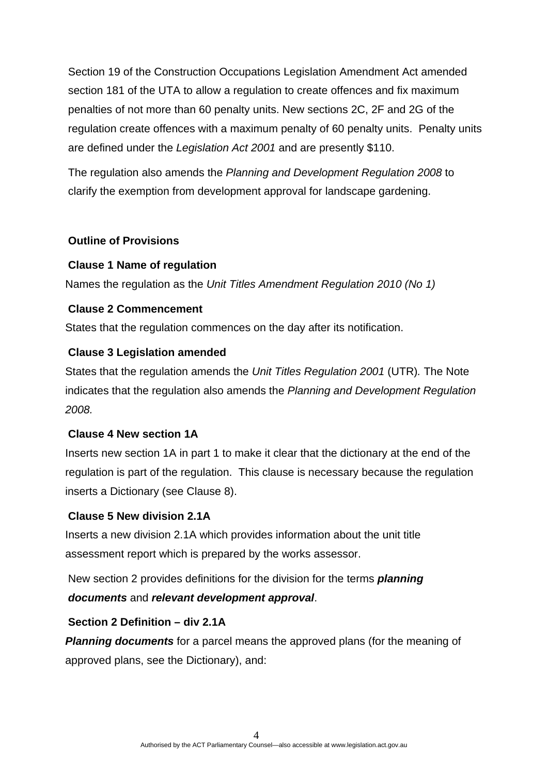Section 19 of the Construction Occupations Legislation Amendment Act amended section 181 of the UTA to allow a regulation to create offences and fix maximum penalties of not more than 60 penalty units. New sections 2C, 2F and 2G of the regulation create offences with a maximum penalty of 60 penalty units. Penalty units are defined under the *Legislation Act 2001* and are presently \$110.

The regulation also amends the *Planning and Development Regulation 2008* to clarify the exemption from development approval for landscape gardening.

## **Outline of Provisions**

## **Clause 1 Name of regulation**

Names the regulation as the *Unit Titles Amendment Regulation 2010 (No 1)* 

## **Clause 2 Commencement**

States that the regulation commences on the day after its notification.

### **Clause 3 Legislation amended**

States that the regulation amends the *Unit Titles Regulation 2001* (UTR)*.* The Note indicates that the regulation also amends the *Planning and Development Regulation 2008.* 

### **Clause 4 New section 1A**

Inserts new section 1A in part 1 to make it clear that the dictionary at the end of the regulation is part of the regulation. This clause is necessary because the regulation inserts a Dictionary (see Clause 8).

## **Clause 5 New division 2.1A**

Inserts a new division 2.1A which provides information about the unit title assessment report which is prepared by the works assessor.

New section 2 provides definitions for the division for the terms *planning documents* and *relevant development approval*.

### **Section 2 Definition – div 2.1A**

*Planning documents* for a parcel means the approved plans (for the meaning of approved plans, see the Dictionary), and: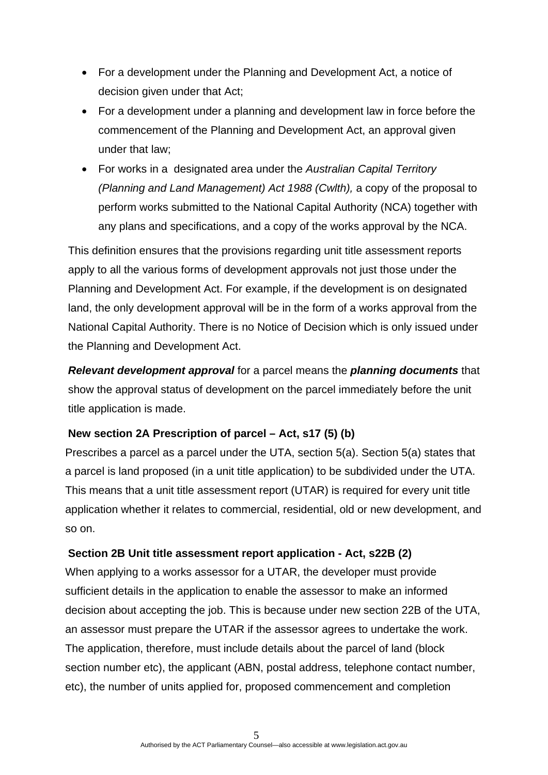- For a development under the Planning and Development Act, a notice of decision given under that Act;
- For a development under a planning and development law in force before the commencement of the Planning and Development Act, an approval given under that law;
- For works in a designated area under the *Australian Capital Territory (Planning and Land Management) Act 1988 (Cwlth),* a copy of the proposal to perform works submitted to the National Capital Authority (NCA) together with any plans and specifications, and a copy of the works approval by the NCA.

This definition ensures that the provisions regarding unit title assessment reports apply to all the various forms of development approvals not just those under the Planning and Development Act. For example, if the development is on designated land, the only development approval will be in the form of a works approval from the National Capital Authority. There is no Notice of Decision which is only issued under the Planning and Development Act.

*Relevant development approval* for a parcel means the *planning documents* that show the approval status of development on the parcel immediately before the unit title application is made.

### **New section 2A Prescription of parcel – Act, s17 (5) (b)**

Prescribes a parcel as a parcel under the UTA, section 5(a). Section 5(a) states that a parcel is land proposed (in a unit title application) to be subdivided under the UTA. This means that a unit title assessment report (UTAR) is required for every unit title application whether it relates to commercial, residential, old or new development, and so on.

#### **Section 2B Unit title assessment report application - Act, s22B (2)**

When applying to a works assessor for a UTAR, the developer must provide sufficient details in the application to enable the assessor to make an informed decision about accepting the job. This is because under new section 22B of the UTA, an assessor must prepare the UTAR if the assessor agrees to undertake the work. The application, therefore, must include details about the parcel of land (block section number etc), the applicant (ABN, postal address, telephone contact number, etc), the number of units applied for, proposed commencement and completion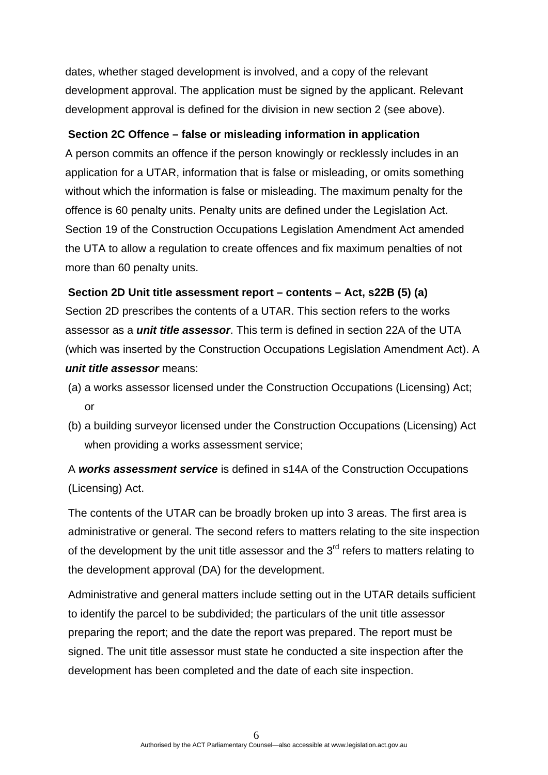dates, whether staged development is involved, and a copy of the relevant development approval. The application must be signed by the applicant. Relevant development approval is defined for the division in new section 2 (see above).

#### **Section 2C Offence – false or misleading information in application**

A person commits an offence if the person knowingly or recklessly includes in an application for a UTAR, information that is false or misleading, or omits something without which the information is false or misleading. The maximum penalty for the offence is 60 penalty units. Penalty units are defined under the Legislation Act. Section 19 of the Construction Occupations Legislation Amendment Act amended the UTA to allow a regulation to create offences and fix maximum penalties of not more than 60 penalty units.

#### **Section 2D Unit title assessment report – contents – Act, s22B (5) (a)**

Section 2D prescribes the contents of a UTAR. This section refers to the works assessor as a *unit title assessor*. This term is defined in section 22A of the UTA (which was inserted by the Construction Occupations Legislation Amendment Act). A *unit title assessor* means:

- (a) a works assessor licensed under the Construction Occupations (Licensing) Act; or
- (b) a building surveyor licensed under the Construction Occupations (Licensing) Act when providing a works assessment service;

A *works assessment service* is defined in s14A of the Construction Occupations (Licensing) Act.

The contents of the UTAR can be broadly broken up into 3 areas. The first area is administrative or general. The second refers to matters relating to the site inspection of the development by the unit title assessor and the  $3<sup>rd</sup>$  refers to matters relating to the development approval (DA) for the development.

Administrative and general matters include setting out in the UTAR details sufficient to identify the parcel to be subdivided; the particulars of the unit title assessor preparing the report; and the date the report was prepared. The report must be signed. The unit title assessor must state he conducted a site inspection after the development has been completed and the date of each site inspection.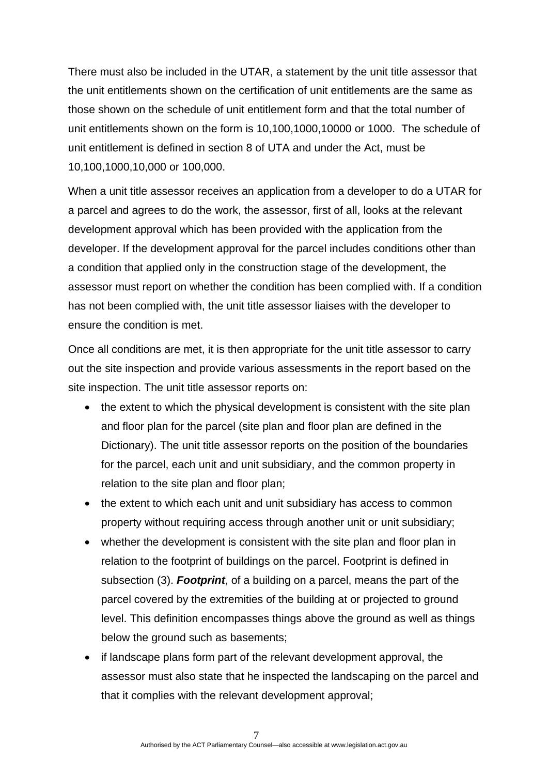There must also be included in the UTAR, a statement by the unit title assessor that the unit entitlements shown on the certification of unit entitlements are the same as those shown on the schedule of unit entitlement form and that the total number of unit entitlements shown on the form is 10,100,1000,10000 or 1000. The schedule of unit entitlement is defined in section 8 of UTA and under the Act, must be 10,100,1000,10,000 or 100,000.

When a unit title assessor receives an application from a developer to do a UTAR for a parcel and agrees to do the work, the assessor, first of all, looks at the relevant development approval which has been provided with the application from the developer. If the development approval for the parcel includes conditions other than a condition that applied only in the construction stage of the development, the assessor must report on whether the condition has been complied with. If a condition has not been complied with, the unit title assessor liaises with the developer to ensure the condition is met.

Once all conditions are met, it is then appropriate for the unit title assessor to carry out the site inspection and provide various assessments in the report based on the site inspection. The unit title assessor reports on:

- the extent to which the physical development is consistent with the site plan and floor plan for the parcel (site plan and floor plan are defined in the Dictionary). The unit title assessor reports on the position of the boundaries for the parcel, each unit and unit subsidiary, and the common property in relation to the site plan and floor plan;
- the extent to which each unit and unit subsidiary has access to common property without requiring access through another unit or unit subsidiary;
- whether the development is consistent with the site plan and floor plan in relation to the footprint of buildings on the parcel. Footprint is defined in subsection (3). *Footprint*, of a building on a parcel, means the part of the parcel covered by the extremities of the building at or projected to ground level. This definition encompasses things above the ground as well as things below the ground such as basements;
- if landscape plans form part of the relevant development approval, the assessor must also state that he inspected the landscaping on the parcel and that it complies with the relevant development approval;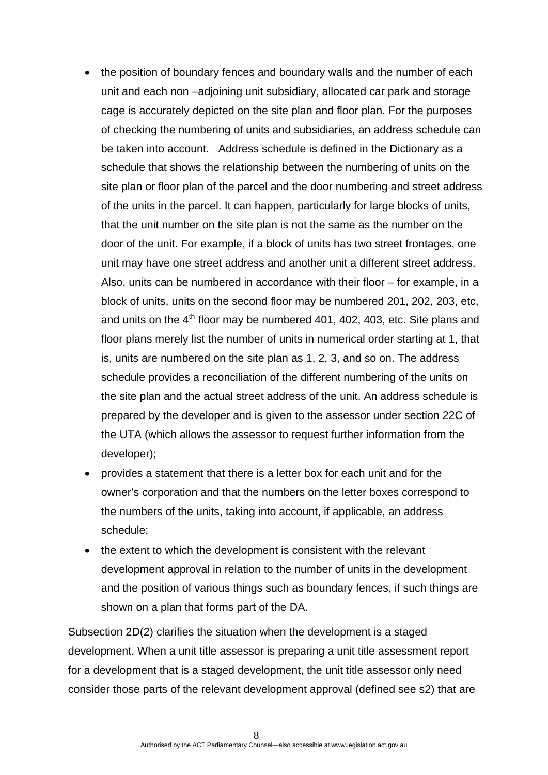- the position of boundary fences and boundary walls and the number of each unit and each non –adjoining unit subsidiary, allocated car park and storage cage is accurately depicted on the site plan and floor plan. For the purposes of checking the numbering of units and subsidiaries, an address schedule can be taken into account. Address schedule is defined in the Dictionary as a schedule that shows the relationship between the numbering of units on the site plan or floor plan of the parcel and the door numbering and street address of the units in the parcel. It can happen, particularly for large blocks of units, that the unit number on the site plan is not the same as the number on the door of the unit. For example, if a block of units has two street frontages, one unit may have one street address and another unit a different street address. Also, units can be numbered in accordance with their floor – for example, in a block of units, units on the second floor may be numbered 201, 202, 203, etc, and units on the  $4<sup>th</sup>$  floor may be numbered 401, 402, 403, etc. Site plans and floor plans merely list the number of units in numerical order starting at 1, that is, units are numbered on the site plan as 1, 2, 3, and so on. The address schedule provides a reconciliation of the different numbering of the units on the site plan and the actual street address of the unit. An address schedule is prepared by the developer and is given to the assessor under section 22C of the UTA (which allows the assessor to request further information from the developer);
- provides a statement that there is a letter box for each unit and for the owner's corporation and that the numbers on the letter boxes correspond to the numbers of the units, taking into account, if applicable, an address schedule;
- the extent to which the development is consistent with the relevant development approval in relation to the number of units in the development and the position of various things such as boundary fences, if such things are shown on a plan that forms part of the DA.

Subsection 2D(2) clarifies the situation when the development is a staged development. When a unit title assessor is preparing a unit title assessment report for a development that is a staged development, the unit title assessor only need consider those parts of the relevant development approval (defined see s2) that are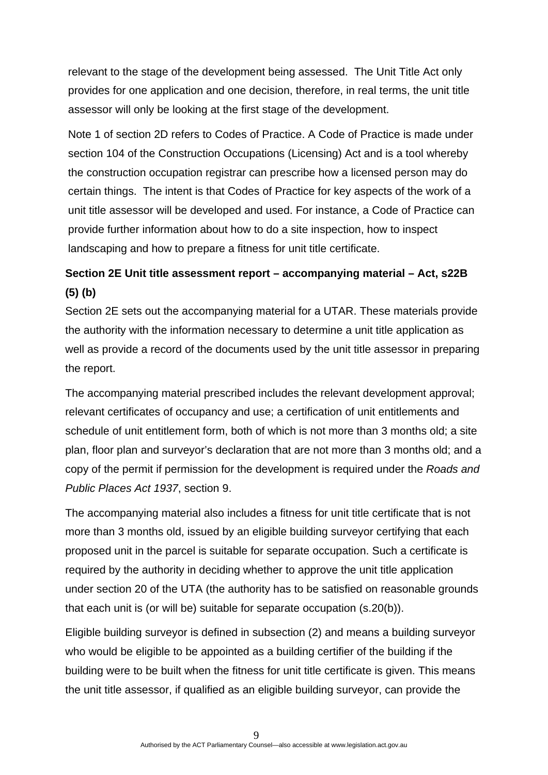relevant to the stage of the development being assessed. The Unit Title Act only provides for one application and one decision, therefore, in real terms, the unit title assessor will only be looking at the first stage of the development.

Note 1 of section 2D refers to Codes of Practice. A Code of Practice is made under section 104 of the Construction Occupations (Licensing) Act and is a tool whereby the construction occupation registrar can prescribe how a licensed person may do certain things. The intent is that Codes of Practice for key aspects of the work of a unit title assessor will be developed and used. For instance, a Code of Practice can provide further information about how to do a site inspection, how to inspect landscaping and how to prepare a fitness for unit title certificate.

# **Section 2E Unit title assessment report – accompanying material – Act, s22B (5) (b)**

Section 2E sets out the accompanying material for a UTAR. These materials provide the authority with the information necessary to determine a unit title application as well as provide a record of the documents used by the unit title assessor in preparing the report.

The accompanying material prescribed includes the relevant development approval; relevant certificates of occupancy and use; a certification of unit entitlements and schedule of unit entitlement form, both of which is not more than 3 months old; a site plan, floor plan and surveyor's declaration that are not more than 3 months old; and a copy of the permit if permission for the development is required under the *Roads and Public Places Act 1937*, section 9.

The accompanying material also includes a fitness for unit title certificate that is not more than 3 months old, issued by an eligible building surveyor certifying that each proposed unit in the parcel is suitable for separate occupation. Such a certificate is required by the authority in deciding whether to approve the unit title application under section 20 of the UTA (the authority has to be satisfied on reasonable grounds that each unit is (or will be) suitable for separate occupation (s.20(b)).

Eligible building surveyor is defined in subsection (2) and means a building surveyor who would be eligible to be appointed as a building certifier of the building if the building were to be built when the fitness for unit title certificate is given. This means the unit title assessor, if qualified as an eligible building surveyor, can provide the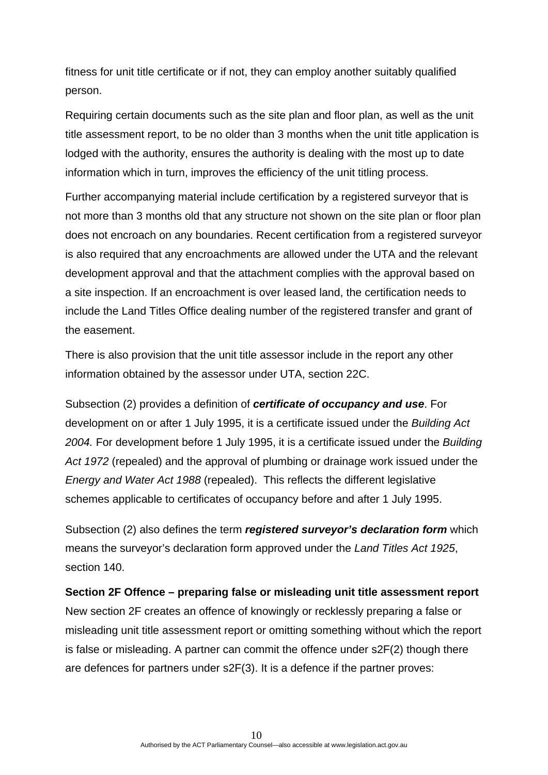fitness for unit title certificate or if not, they can employ another suitably qualified person.

Requiring certain documents such as the site plan and floor plan, as well as the unit title assessment report, to be no older than 3 months when the unit title application is lodged with the authority, ensures the authority is dealing with the most up to date information which in turn, improves the efficiency of the unit titling process.

Further accompanying material include certification by a registered surveyor that is not more than 3 months old that any structure not shown on the site plan or floor plan does not encroach on any boundaries. Recent certification from a registered surveyor is also required that any encroachments are allowed under the UTA and the relevant development approval and that the attachment complies with the approval based on a site inspection. If an encroachment is over leased land, the certification needs to include the Land Titles Office dealing number of the registered transfer and grant of the easement.

There is also provision that the unit title assessor include in the report any other information obtained by the assessor under UTA, section 22C.

Subsection (2) provides a definition of *certificate of occupancy and use*. For development on or after 1 July 1995, it is a certificate issued under the *Building Act 2004.* For development before 1 July 1995, it is a certificate issued under the *Building Act 1972* (repealed) and the approval of plumbing or drainage work issued under the *Energy and Water Act 1988* (repealed). This reflects the different legislative schemes applicable to certificates of occupancy before and after 1 July 1995.

Subsection (2) also defines the term *registered surveyor's declaration form* which means the surveyor's declaration form approved under the *Land Titles Act 1925*, section 140.

#### **Section 2F Offence – preparing false or misleading unit title assessment report**

New section 2F creates an offence of knowingly or recklessly preparing a false or misleading unit title assessment report or omitting something without which the report is false or misleading. A partner can commit the offence under s2F(2) though there are defences for partners under s2F(3). It is a defence if the partner proves: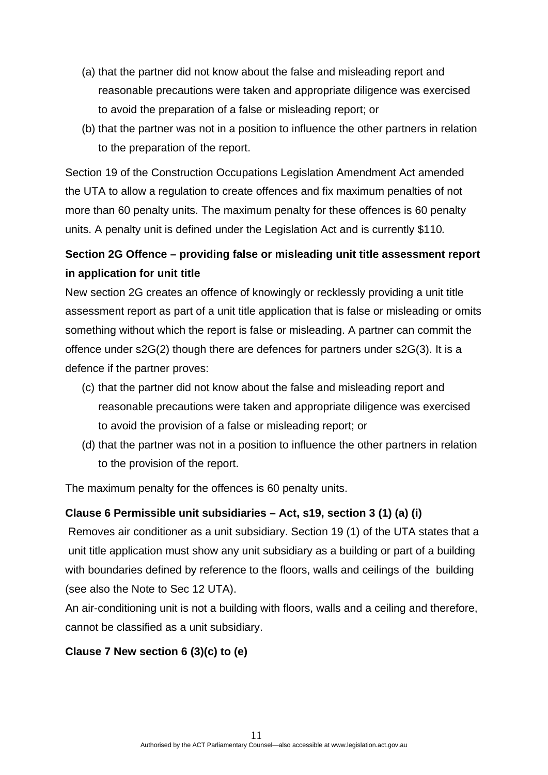- (a) that the partner did not know about the false and misleading report and reasonable precautions were taken and appropriate diligence was exercised to avoid the preparation of a false or misleading report; or
- (b) that the partner was not in a position to influence the other partners in relation to the preparation of the report.

Section 19 of the Construction Occupations Legislation Amendment Act amended the UTA to allow a regulation to create offences and fix maximum penalties of not more than 60 penalty units. The maximum penalty for these offences is 60 penalty units. A penalty unit is defined under the Legislation Act and is currently \$110*.* 

# **Section 2G Offence – providing false or misleading unit title assessment report in application for unit title**

New section 2G creates an offence of knowingly or recklessly providing a unit title assessment report as part of a unit title application that is false or misleading or omits something without which the report is false or misleading. A partner can commit the offence under s2G(2) though there are defences for partners under s2G(3). It is a defence if the partner proves:

- (c) that the partner did not know about the false and misleading report and reasonable precautions were taken and appropriate diligence was exercised to avoid the provision of a false or misleading report; or
- (d) that the partner was not in a position to influence the other partners in relation to the provision of the report.

The maximum penalty for the offences is 60 penalty units.

## **Clause 6 Permissible unit subsidiaries – Act, s19, section 3 (1) (a) (i)**

 Removes air conditioner as a unit subsidiary. Section 19 (1) of the UTA states that a unit title application must show any unit subsidiary as a building or part of a building with boundaries defined by reference to the floors, walls and ceilings of the building (see also the Note to Sec 12 UTA).

An air-conditioning unit is not a building with floors, walls and a ceiling and therefore, cannot be classified as a unit subsidiary.

## **Clause 7 New section 6 (3)(c) to (e)**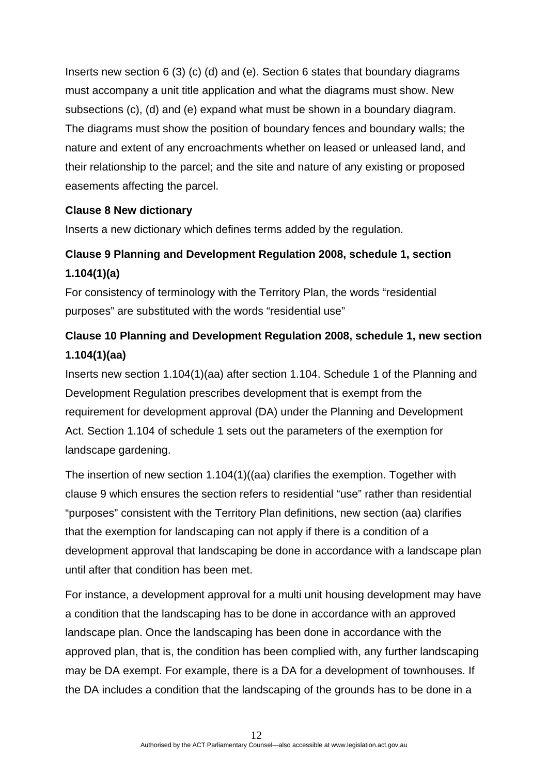Inserts new section 6 (3) (c) (d) and (e). Section 6 states that boundary diagrams must accompany a unit title application and what the diagrams must show. New subsections (c), (d) and (e) expand what must be shown in a boundary diagram. The diagrams must show the position of boundary fences and boundary walls; the nature and extent of any encroachments whether on leased or unleased land, and their relationship to the parcel; and the site and nature of any existing or proposed easements affecting the parcel.

### **Clause 8 New dictionary**

Inserts a new dictionary which defines terms added by the regulation.

# **Clause 9 Planning and Development Regulation 2008, schedule 1, section 1.104(1)(a)**

For consistency of terminology with the Territory Plan, the words "residential purposes" are substituted with the words "residential use"

# **Clause 10 Planning and Development Regulation 2008, schedule 1, new section 1.104(1)(aa)**

Inserts new section 1.104(1)(aa) after section 1.104. Schedule 1 of the Planning and Development Regulation prescribes development that is exempt from the requirement for development approval (DA) under the Planning and Development Act. Section 1.104 of schedule 1 sets out the parameters of the exemption for landscape gardening.

The insertion of new section 1.104(1)((aa) clarifies the exemption. Together with clause 9 which ensures the section refers to residential "use" rather than residential "purposes" consistent with the Territory Plan definitions, new section (aa) clarifies that the exemption for landscaping can not apply if there is a condition of a development approval that landscaping be done in accordance with a landscape plan until after that condition has been met.

For instance, a development approval for a multi unit housing development may have a condition that the landscaping has to be done in accordance with an approved landscape plan. Once the landscaping has been done in accordance with the approved plan, that is, the condition has been complied with, any further landscaping may be DA exempt. For example, there is a DA for a development of townhouses. If the DA includes a condition that the landscaping of the grounds has to be done in a